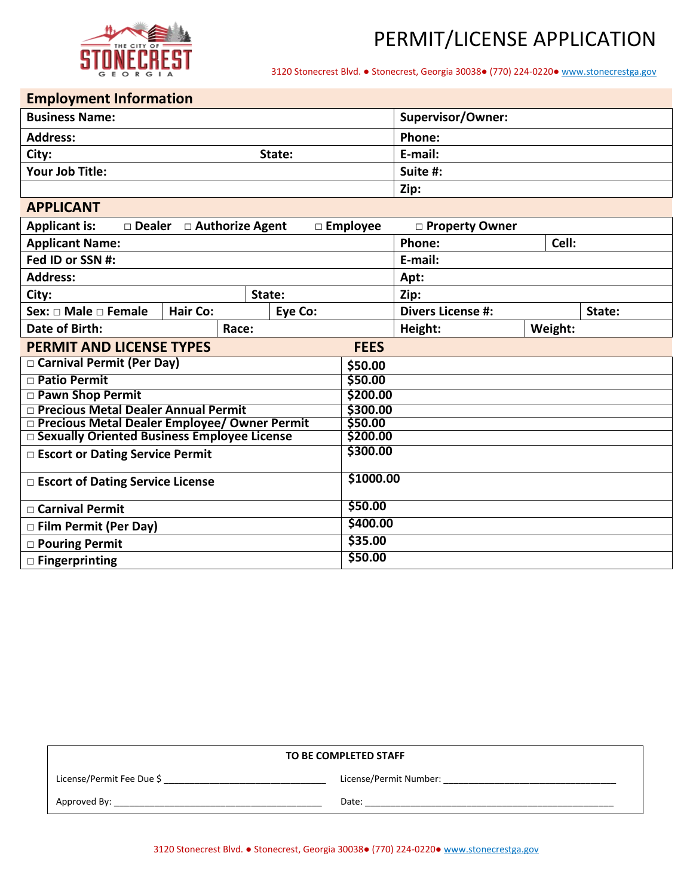

3120 Stonecrest Blvd. ● Stonecrest, Georgia 30038● (770) 224-0220● [www.stonecrestga.gov](http://www.stonecrestga.gov/)

## **Employment Information**

| ENIPIOTING INTO HIGHO                                                                          |       |                                    |                          |         |  |  |
|------------------------------------------------------------------------------------------------|-------|------------------------------------|--------------------------|---------|--|--|
| <b>Business Name:</b>                                                                          |       |                                    | <b>Supervisor/Owner:</b> |         |  |  |
| <b>Address:</b>                                                                                |       |                                    | Phone:                   |         |  |  |
| City:<br>State:                                                                                |       |                                    | E-mail:                  |         |  |  |
| Your Job Title:                                                                                |       |                                    | Suite #:                 |         |  |  |
|                                                                                                |       |                                    | Zip:                     |         |  |  |
| <b>APPLICANT</b>                                                                               |       |                                    |                          |         |  |  |
| <b>Applicant is:</b><br>$\Box$ Dealer $\Box$ Authorize Agent<br>□ Employee<br>□ Property Owner |       |                                    |                          |         |  |  |
| <b>Applicant Name:</b>                                                                         |       |                                    | Phone:                   | Cell:   |  |  |
| Fed ID or SSN #:                                                                               |       |                                    | E-mail:                  |         |  |  |
| <b>Address:</b>                                                                                |       |                                    | Apt:                     |         |  |  |
| State:<br>City:                                                                                |       | Zip:                               |                          |         |  |  |
| Sex: $\Box$ Male $\Box$ Female<br><b>Hair Co:</b><br>Eye Co:                                   |       | <b>Divers License #:</b><br>State: |                          |         |  |  |
| Date of Birth:                                                                                 | Race: |                                    | Height:                  | Weight: |  |  |
| <b>PERMIT AND LICENSE TYPES</b><br><b>FEES</b>                                                 |       |                                    |                          |         |  |  |
| Carnival Permit (Per Day)<br>\$50.00                                                           |       |                                    |                          |         |  |  |
| □ Patio Permit<br>\$50.00                                                                      |       |                                    |                          |         |  |  |
| \$200.00<br><b>D</b> Pawn Shop Permit                                                          |       |                                    |                          |         |  |  |
| □ Precious Metal Dealer Annual Permit                                                          |       | \$300.00                           |                          |         |  |  |
| □ Precious Metal Dealer Employee/ Owner Permit                                                 |       | \$50.00                            |                          |         |  |  |
| □ Sexually Oriented Business Employee License                                                  |       | \$200.00                           |                          |         |  |  |
| □ Escort or Dating Service Permit                                                              |       | \$300.00                           |                          |         |  |  |
| □ Escort of Dating Service License                                                             |       | \$1000.00                          |                          |         |  |  |
| $\sqcap$ Carnival Permit                                                                       |       | \$50.00                            |                          |         |  |  |
| □ Film Permit (Per Day)                                                                        |       | \$400.00                           |                          |         |  |  |
| □ Pouring Permit                                                                               |       | \$35.00                            |                          |         |  |  |
| □ Fingerprinting                                                                               |       | \$50.00                            |                          |         |  |  |

| TO BE COMPLETED STAFF     |                        |  |  |
|---------------------------|------------------------|--|--|
| License/Permit Fee Due \$ | License/Permit Number: |  |  |
| Approved By:              | Date:                  |  |  |